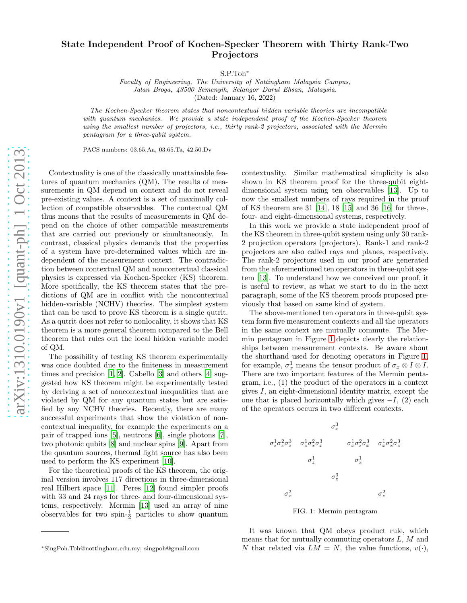## State Independent Proof of Kochen-Specker Theorem with Thirty Rank-Two Projectors

S.P.Toh<sup>∗</sup>

*Faculty of Engineering, The University of Nottingham Malaysia Campus, Jalan Broga, 43500 Semenyih, Selangor Darul Ehsan, Malaysia.* (Dated: January 16, 2022)

*The Kochen-Specker theorem states that noncontextual hidden variable theories are incompatible with quantum mechanics. We provide a state independent proof of the Kochen-Specker theorem using the smallest number of projectors, i.e., thirty rank-2 projectors, associated with the Mermin pentagram for a three-qubit system.*

PACS numbers: 03.65.Aa, 03.65.Ta, 42.50.Dv

Contextuality is one of the classically unattainable features of quantum mechanics (QM). The results of measurements in QM depend on context and do not reveal pre-existing values. A context is a set of maximally collection of compatible observables. The contextual QM thus means that the results of measurements in QM depend on the choice of other compatible measurements that are carried out previously or simultaneously. In contrast, classical physics demands that the properties of a system have pre-determined values which are independent of the measurement context. The contradiction between contextual QM and noncontextual classical physics is expressed via Kochen-Specker (KS) theorem. More specifically, the KS theorem states that the predictions of QM are in conflict with the noncontextual hidden-variable (NCHV) theories. The simplest system that can be used to prove KS theorem is a single qutrit. As a qutrit does not refer to nonlocality, it shows that KS theorem is a more general theorem compared to the Bell theorem that rules out the local hidden variable model of QM.

The possibility of testing KS theorem experimentally was once doubted due to the finiteness in measurement times and precision [\[1,](#page-2-0) [2](#page-2-1)]. Cabello [\[3\]](#page-3-0) and others [\[4\]](#page-3-1) suggested how KS theorem might be experimentally tested by deriving a set of noncontextual inequalities that are violated by QM for any quantum states but are satisfied by any NCHV theories. Recently, there are many successful experiments that show the violation of noncontextual inequality, for example the experiments on a pair of trapped ions [\[5\]](#page-3-2), neutrons [\[6\]](#page-3-3), single photons [\[7\]](#page-3-4), two photonic qubits [\[8\]](#page-3-5) and nuclear spins [\[9\]](#page-3-6). Apart from the quantum sources, thermal light source has also been used to perform the KS experiment [\[10\]](#page-3-7).

For the theoretical proofs of the KS theorem, the original version involves 117 directions in three-dimensional real Hilbert space [\[11](#page-3-8)]. Peres [\[12](#page-3-9)] found simpler proofs with 33 and 24 rays for three- and four-dimensional systems, respectively. Mermin [\[13\]](#page-3-10) used an array of nine observables for two spin- $\frac{1}{2}$  particles to show quantum

contextuality. Similar mathematical simplicity is also shown in KS theorem proof for the three-qubit eightdimensional system using ten observables [\[13\]](#page-3-10). Up to now the smallest numbers of rays required in the proof of KS theorem are 31 [\[14](#page-3-11)], 18 [\[15](#page-3-12)] and 36 [\[16\]](#page-3-13) for three-, four- and eight-dimensional systems, respectively.

In this work we provide a state independent proof of the KS theorem in three-qubit system using only 30 rank-2 projection operators (projectors). Rank-1 and rank-2 projectors are also called rays and planes, respectively. The rank-2 projectors used in our proof are generated from the aforementioned ten operators in three-qubit system [\[13\]](#page-3-10). To understand how we conceived our proof, it is useful to review, as what we start to do in the next paragraph, some of the KS theorem proofs proposed previously that based on same kind of system.

The above-mentioned ten operators in three-qubit system form five measurement contexts and all the operators in the same context are mutually commute. The Mermin pentagram in Figure [1](#page-0-0) depicts clearly the relationships between measurement contexts. Be aware about the shorthand used for denoting operators in Figure [1,](#page-0-0) for example,  $\sigma_x^1$  means the tensor product of  $\sigma_x \otimes I \otimes I$ . There are two important features of the Mermin pentagram, i.e., (1) the product of the operators in a context gives  $I$ , an eight-dimensional identity matrix, except the one that is placed horizontally which gives  $-I$ , (2) each of the operators occurs in two different contexts.

$$
\sigma_x^3
$$
\n
$$
\sigma_z^1 \sigma_z^2 \sigma_z^3
$$
\n
$$
\sigma_z^1 \sigma_x^2 \sigma_x^3
$$
\n
$$
\sigma_x^1
$$
\n
$$
\sigma_z^1
$$
\n
$$
\sigma_z^1
$$
\n
$$
\sigma_z^1
$$
\n
$$
\sigma_z^3
$$
\n
$$
\sigma_x^2
$$
\n
$$
\sigma_z^2
$$
\n
$$
\sigma_z^2
$$
\n
$$
\sigma_z^2
$$

<span id="page-0-0"></span>FIG. 1: Mermin pentagram

It was known that QM obeys product rule, which means that for mutually commuting operators  $L, M$  and N that related via  $LM = N$ , the value functions,  $v(\cdot)$ ,

<sup>∗</sup>SingPoh.Toh@nottingham.edu.my; singpoh@gmail.com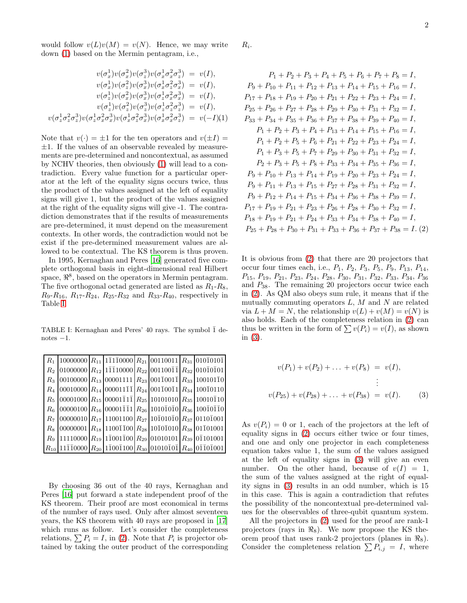would follow  $v(L)v(M) = v(N)$ . Hence, we may write down [\(1\)](#page-1-0) based on the Mermin pentagram, i.e.,

<span id="page-1-0"></span>
$$
v(\sigma_x^1)v(\sigma_x^2)v(\sigma_z^3)v(\sigma_x^1\sigma_x^2\sigma_z^3) = v(I),
$$
  
\n
$$
v(\sigma_x^1)v(\sigma_z^2)v(\sigma_x^3)v(\sigma_x^1\sigma_z^2\sigma_x^3) = v(I),
$$
  
\n
$$
v(\sigma_x^1)v(\sigma_x^2)v(\sigma_x^3)v(\sigma_z^1\sigma_x^2\sigma_x^3) = v(I),
$$
  
\n
$$
v(\sigma_z^1)v(\sigma_z^2)v(\sigma_z^3)v(\sigma_z^1\sigma_z^2\sigma_z^3) = v(I),
$$
  
\n
$$
v(\sigma_z^1\sigma_z^2\sigma_x^3)v(\sigma_x^1\sigma_z^2\sigma_x^3)v(\sigma_x^1\sigma_x^2\sigma_z^3) = v(-I)(1)
$$

Note that  $v(\cdot) = \pm 1$  for the ten operators and  $v(\pm I) =$  $\pm 1$ . If the values of an observable revealed by measurements are pre-determined and noncontextual, as assumed by NCHV theories, then obviously [\(1\)](#page-1-0) will lead to a contradiction. Every value function for a particular operator at the left of the equality signs occurs twice, thus the product of the values assigned at the left of equality signs will give 1, but the product of the values assigned at the right of the equality signs will give -1. The contradiction demonstrates that if the results of measurements are pre-determined, it must depend on the measurement contexts. In other words, the contradiction would not be exist if the pre-determined measurement values are allowed to be contextual. The KS theorem is thus proven.

In 1995, Kernaghan and Peres [\[16\]](#page-3-13) generated five complete orthogonal basis in eight-dimensional real Hilbert space,  $\mathbb{R}^8$ , based on the operators in Mermin pentagram. The five orthogonal octad generated are listed as  $R_1 - R_8$ ,  $R_9-R_{16}, R_{17}-R_{24}, R_{25}-R_{32}$  and  $R_{33}-R_{40}$ , respectively in Table [I.](#page-1-1)

<span id="page-1-1"></span>TABLE I: Kernaghan and Peres' 40 rays. The symbol  $\bar{1}$  de $notes -1.$ 

|             | $R_1$ 10000000 $R_{11}$ 11110000 $R_{21}$ 00110011 $R_{31}$ 01010101                                                                                |  |                                                                                                                  |                                                                                                                                     |
|-------------|-----------------------------------------------------------------------------------------------------------------------------------------------------|--|------------------------------------------------------------------------------------------------------------------|-------------------------------------------------------------------------------------------------------------------------------------|
| $R_2$       |                                                                                                                                                     |  |                                                                                                                  | $ 01000000  R_{12}  1\overline{1}\overline{1}10000  R_{22}  001100\overline{1}\overline{1}  R_{32}  010\overline{1}0\overline{1}01$ |
| $R_{3}$     |                                                                                                                                                     |  |                                                                                                                  | $ 00100000  R_{13}  00001111   R_{23}  001\overline{1}001\overline{1}   R_{33}  100101\overline{1}0$                                |
| $R_{4}$     |                                                                                                                                                     |  | $ 00010000  R_{14}   000011\overline{11}  R_{24}   001\overline{1}00\overline{11}  R_{34}   100\overline{1}0110$ |                                                                                                                                     |
| $R_{\rm 5}$ |                                                                                                                                                     |  |                                                                                                                  | $ 00001000 $ $R_{15} 00001\overline{1}1\overline{1} $ $R_{25} 10101010 $ $R_{35} 10010\overline{1}10$                               |
| $R_6$       |                                                                                                                                                     |  | $ 00000100  R_{16}  00001\overline{11}1  R_{26}  1010\overline{101}0  R_{36}  100\overline{10}\overline{10}$     |                                                                                                                                     |
| $R_7$       | $ 00000010  R_{17} 11001100  R_{27} 10\overline{1}010\overline{1}0  R_{37} 0110\overline{1}001$                                                     |  |                                                                                                                  |                                                                                                                                     |
| $R_8$       |                                                                                                                                                     |  | $ 00000001  R_{18}  1100\overline{1}100  R_{28}  10\overline{1}01010  R_{38}  01\overline{1}01001$               |                                                                                                                                     |
| $R_9$       |                                                                                                                                                     |  |                                                                                                                  | $11110000 R_{19} 11\overline{1}001\overline{1}00 R_{29} 01010101 R_{39} 01\overline{1}101001$                                       |
|             | $R_{10}$  11 $\bar{1}\bar{1}0000$   $R_{20}$  1 $\bar{1}00\bar{1}100$   $R_{30}$  01010 $\bar{1}0\bar{1}$   $R_{40}$  0 $\bar{1}\bar{1}0\bar{1}001$ |  |                                                                                                                  |                                                                                                                                     |

By choosing 36 out of the 40 rays, Kernaghan and Peres [\[16\]](#page-3-13) put forward a state independent proof of the KS theorem. Their proof are most economical in terms of the number of rays used. Only after almost seventeen years, the KS theorem with 40 rays are proposed in [\[17](#page-3-14)] which runs as follow. Let's consider the completeness relations,  $\sum P_i = I$ , in [\(2\)](#page-1-2). Note that  $P_i$  is projector obtained by taking the outer product of the corresponding

 $R_i$ .

<span id="page-1-2"></span>
$$
P_1 + P_2 + P_3 + P_4 + P_5 + P_6 + P_7 + P_8 = I,
$$
  
\n
$$
P_9 + P_{10} + P_{11} + P_{12} + P_{13} + P_{14} + P_{15} + P_{16} = I,
$$
  
\n
$$
P_{17} + P_{18} + P_{19} + P_{20} + P_{21} + P_{22} + P_{23} + P_{24} = I,
$$
  
\n
$$
P_{25} + P_{26} + P_{27} + P_{28} + P_{29} + P_{30} + P_{31} + P_{32} = I,
$$
  
\n
$$
P_{33} + P_{34} + P_{35} + P_{36} + P_{37} + P_{38} + P_{39} + P_{40} = I,
$$
  
\n
$$
P_1 + P_2 + P_3 + P_4 + P_{13} + P_{14} + P_{15} + P_{16} = I,
$$
  
\n
$$
P_1 + P_2 + P_5 + P_6 + P_{21} + P_{22} + P_{23} + P_{24} = I,
$$
  
\n
$$
P_1 + P_3 + P_5 + P_7 + P_{29} + P_{30} + P_{31} + P_{32} = I,
$$
  
\n
$$
P_2 + P_3 + P_5 + P_8 + P_{33} + P_{34} + P_{35} + P_{36} = I,
$$
  
\n
$$
P_9 + P_{10} + P_{13} + P_{14} + P_{19} + P_{20} + P_{23} + P_{24} = I,
$$
  
\n
$$
P_9 + P_{11} + P_{13} + P_{15} + P_{27} + P_{28} + P_{31} + P_{32} = I,
$$
  
\n
$$
P_9 + P_{12} + P_{14} + P_{15} + P_{34} + P_{36} + P_{38} + P_{39} = I,
$$
  
\n
$$
P_{17} + P_{19} + P_{21} + P_{23} + P_{26} + P_{28} + P_{30} + P_{32} = I,
$$
  
\n
$$
P_{18} + P_{19} + P_{21} + P_{23
$$

It is obvious from [\(2\)](#page-1-2) that there are 20 projectors that occur four times each, i.e.,  $P_1$ ,  $P_2$ ,  $P_3$ ,  $P_5$ ,  $P_9$ ,  $P_{13}$ ,  $P_{14}$ , P<sub>15</sub>, P<sub>19</sub>, P<sub>21</sub>, P<sub>23</sub>, P<sub>24</sub>, P<sub>28</sub>, P<sub>30</sub>, P<sub>31</sub>, P<sub>32</sub>, P<sub>33</sub>, P<sub>34</sub>, P<sub>36</sub> and  $P_{38}$ . The remaining 20 projectors occur twice each in [\(2\)](#page-1-2). As QM also obeys sum rule, it means that if the mutually commuting operators  $L, M$  and N are related via  $L + M = N$ , the relationship  $v(L) + v(M) = v(N)$  is also holds. Each of the completeness relation in [\(2\)](#page-1-2) can thus be written in the form of  $\sum v(P_i) = v(I)$ , as shown in [\(3\)](#page-1-3).

<span id="page-1-3"></span>
$$
v(P_1) + v(P_2) + \dots + v(P_8) = v(I),
$$
  
\n
$$
\vdots
$$
  
\n
$$
v(P_{25}) + v(P_{28}) + \dots + v(P_{38}) = v(I).
$$
 (3)

As  $v(P_i) = 0$  or 1, each of the projectors at the left of equality signs in [\(2\)](#page-1-2) occurs either twice or four times, and one and only one projector in each completeness equation takes value 1, the sum of the values assigned at the left of equality signs in [\(3\)](#page-1-3) will give an even number. On the other hand, because of  $v(I) = 1$ , the sum of the values assigned at the right of equality signs in [\(3\)](#page-1-3) results in an odd number, which is 15 in this case. This is again a contradiction that refutes the possibility of the noncontextual pre-determined values for the observables of three-qubit quantum system.

All the projectors in [\(2\)](#page-1-2) used for the proof are rank-1 projectors (rays in  $\Re_8$ ). We now propose the KS theorem proof that uses rank-2 projectors (planes in  $\Re_8$ ). Consider the completeness relation  $\sum P_{i,j} = I$ , where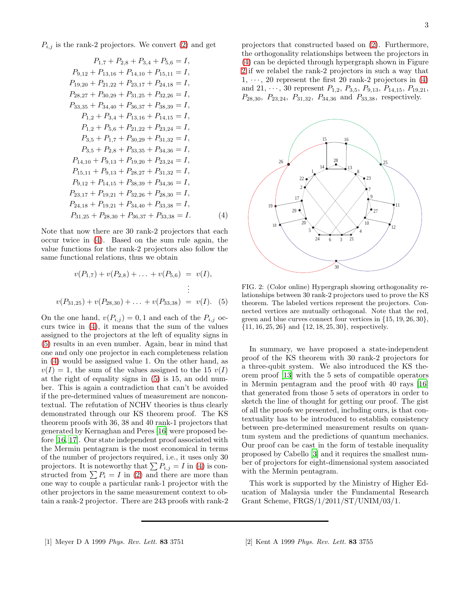$P_{i,j}$  is the rank-2 projectors. We convert [\(2\)](#page-1-2) and get

<span id="page-2-2"></span>
$$
P_{1,7} + P_{2,8} + P_{3,4} + P_{5,6} = I,
$$
  
\n
$$
P_{9,12} + P_{13,16} + P_{14,10} + P_{15,11} = I,
$$
  
\n
$$
P_{19,20} + P_{21,22} + P_{23,17} + P_{24,18} = I,
$$
  
\n
$$
P_{28,27} + P_{30,29} + P_{31,25} + P_{32,26} = I,
$$
  
\n
$$
P_{33,35} + P_{34,40} + P_{36,37} + P_{38,39} = I,
$$
  
\n
$$
P_{1,2} + P_{3,4} + P_{13,16} + P_{14,15} = I,
$$
  
\n
$$
P_{1,2} + P_{5,6} + P_{21,22} + P_{23,24} = I,
$$
  
\n
$$
P_{3,5} + P_{1,7} + P_{30,29} + P_{31,32} = I,
$$
  
\n
$$
P_{3,5} + P_{2,8} + P_{33,35} + P_{34,36} = I,
$$
  
\n
$$
P_{14,10} + P_{9,13} + P_{19,20} + P_{23,24} = I,
$$
  
\n
$$
P_{15,11} + P_{9,13} + P_{28,27} + P_{31,32} = I,
$$
  
\n
$$
P_{9,12} + P_{14,15} + P_{38,39} + P_{34,36} = I,
$$
  
\n
$$
P_{23,17} + P_{19,21} + P_{32,26} + P_{28,30} = I,
$$
  
\n
$$
P_{24,18} + P_{19,21} + P_{34,40} + P_{33,38} = I,
$$
  
\n
$$
P_{31,25} + P_{28,30} + P_{36,37} + P_{33,38} = I.
$$
  
\n(4)

Note that now there are 30 rank-2 projectors that each occur twice in [\(4\)](#page-2-2). Based on the sum rule again, the value functions for the rank-2 projectors also follow the same functional relations, thus we obtain

<span id="page-2-3"></span>
$$
v(P_{1,7}) + v(P_{2,8}) + \dots + v(P_{5,6}) = v(I),
$$
  
\n
$$
\vdots
$$
  
\n
$$
v(P_{31,25}) + v(P_{28,30}) + \dots + v(P_{33,38}) = v(I).
$$
 (5)

On the one hand,  $v(P_{i,j}) = 0, 1$  and each of the  $P_{i,j}$  occurs twice in [\(4\)](#page-2-2), it means that the sum of the values assigned to the projectors at the left of equality signs in [\(5\)](#page-2-3) results in an even number. Again, bear in mind that one and only one projector in each completeness relation in [\(4\)](#page-2-2) would be assigned value 1. On the other hand, as  $v(I) = 1$ , the sum of the values assigned to the 15  $v(I)$ at the right of equality signs in [\(5\)](#page-2-3) is 15, an odd number. This is again a contradiction that can't be avoided if the pre-determined values of measurement are noncontextual. The refutation of NCHV theories is thus clearly demonstrated through our KS theorem proof. The KS theorem proofs with 36, 38 and 40 rank-1 projectors that generated by Kernaghan and Peres [\[16](#page-3-13)] were proposed before [\[16](#page-3-13), [17\]](#page-3-14). Our state independent proof associated with the Mermin pentagram is the most economical in terms of the number of projectors required, i.e., it uses only 30 projectors. It is noteworthy that  $\sum P_{i,j} = I$  in [\(4\)](#page-2-2) is constructed from  $\sum P_i = I$  in [\(2\)](#page-1-2) and there are more than one way to couple a particular rank-1 projector with the other projectors in the same measurement context to obtain a rank-2 projector. There are 243 proofs with rank-2 projectors that constructed based on [\(2\)](#page-1-2). Furthermore, the orthogonality relationships between the projectors in [\(4\)](#page-2-2) can be depicted through hypergraph shown in Figure [2](#page-2-4) if we relabel the rank-2 projectors in such a way that  $1, \dots, 20$  represent the first 20 rank-2 projectors in [\(4\)](#page-2-2) and 21,  $\cdots$ , 30 represent  $P_{1,2}$ ,  $P_{3,5}$ ,  $P_{9,13}$ ,  $P_{14,15}$ ,  $P_{19,21}$ ,  $P_{28,30}$ ,  $P_{23,24}$ ,  $P_{31,32}$ ,  $P_{34,36}$  and  $P_{33,38}$ , respectively.



<span id="page-2-4"></span>FIG. 2: (Color online) Hypergraph showing orthogonality relationships between 30 rank-2 projectors used to prove the KS theorem. The labeled vertices represent the projectors. Connected vertices are mutually orthogonal. Note that the red, green and blue curves connect four vertices in {15, 19, 26, 30}, {11, 16, 25, 26} and {12, 18, 25, 30}, respectively.

In summary, we have proposed a state-independent proof of the KS theorem with 30 rank-2 projectors for a three-qubit system. We also introduced the KS theorem proof [\[13\]](#page-3-10) with the 5 sets of compatible operators in Mermin pentagram and the proof with 40 rays [\[16](#page-3-13)] that generated from those 5 sets of operators in order to sketch the line of thought for getting our proof. The gist of all the proofs we presented, including ours, is that contextuality has to be introduced to establish consistency between pre-determined measurement results on quantum system and the predictions of quantum mechanics. Our proof can be cast in the form of testable inequality proposed by Cabello [\[3](#page-3-0)] and it requires the smallest number of projectors for eight-dimensional system associated with the Mermin pentagram.

<span id="page-2-1"></span><span id="page-2-0"></span>This work is supported by the Ministry of Higher Education of Malaysia under the Fundamental Research Grant Scheme, FRGS/1/2011/ST/UNIM/03/1.